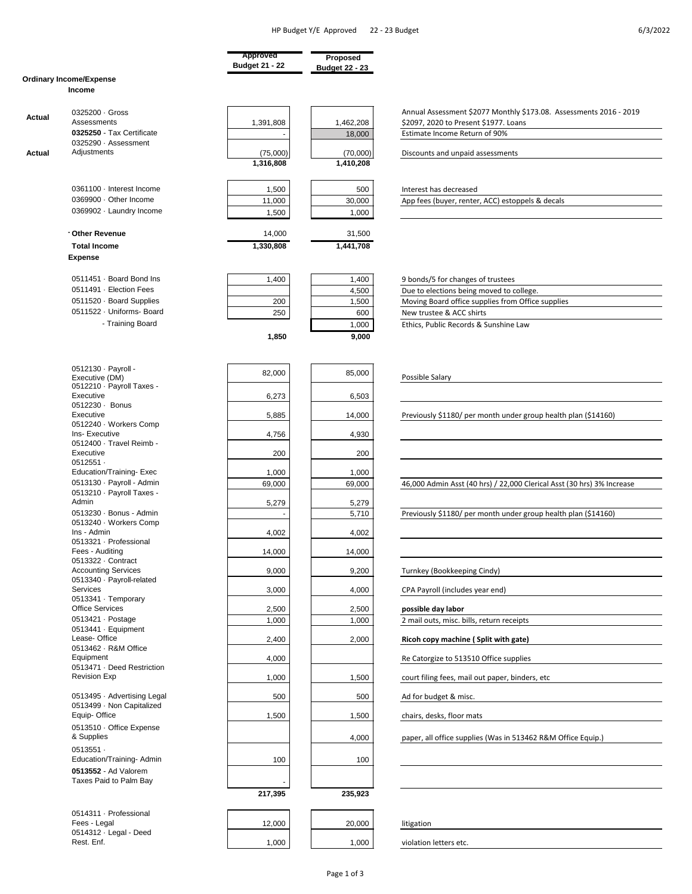|        |                                                | Approved              | Proposed              |                                                                        |
|--------|------------------------------------------------|-----------------------|-----------------------|------------------------------------------------------------------------|
|        |                                                | <b>Budget 21 - 22</b> | <b>Budget 22 - 23</b> |                                                                        |
|        | <b>Ordinary Income/Expense</b>                 |                       |                       |                                                                        |
|        | Income                                         |                       |                       |                                                                        |
|        |                                                |                       |                       |                                                                        |
|        | 0325200 · Gross                                |                       |                       | Annual Assessment \$2077 Monthly \$173.08. Assessments 2016 - 2019     |
| Actual | Assessments                                    | 1,391,808             | 1,462,208             | \$2097, 2020 to Present \$1977. Loans                                  |
|        | 0325250 - Tax Certificate                      |                       | 18,000                | Estimate Income Return of 90%                                          |
|        | 0325290 · Assessment                           |                       |                       |                                                                        |
| Actual | Adjustments                                    | (75,000)              | (70,000)              | Discounts and unpaid assessments                                       |
|        |                                                | 1,316,808             | 1,410,208             |                                                                        |
|        |                                                |                       |                       |                                                                        |
|        |                                                |                       |                       |                                                                        |
|        | 0361100 · Interest Income                      | 1,500                 | 500                   | Interest has decreased                                                 |
|        | 0369900 · Other Income                         | 11,000                | 30,000                | App fees (buyer, renter, ACC) estoppels & decals                       |
|        | 0369902 · Laundry Income                       | 1,500                 | 1,000                 |                                                                        |
|        |                                                |                       |                       |                                                                        |
|        | Other Revenue                                  | 14,000                | 31,500                |                                                                        |
|        | <b>Total Income</b>                            | 1,330,808             | 1,441,708             |                                                                        |
|        | <b>Expense</b>                                 |                       |                       |                                                                        |
|        |                                                |                       |                       |                                                                        |
|        | 0511451 · Board Bond Ins                       | 1,400                 | 1,400                 | 9 bonds/5 for changes of trustees                                      |
|        | 0511491 · Election Fees                        |                       | 4,500                 | Due to elections being moved to college.                               |
|        | 0511520 · Board Supplies                       | 200                   | 1,500                 | Moving Board office supplies from Office supplies                      |
|        | 0511522 · Uniforms- Board                      | 250                   | 600                   | New trustee & ACC shirts                                               |
|        | - Training Board                               |                       |                       |                                                                        |
|        |                                                |                       | 1,000                 | Ethics, Public Records & Sunshine Law                                  |
|        |                                                | 1,850                 | 9,000                 |                                                                        |
|        |                                                |                       |                       |                                                                        |
|        |                                                |                       |                       |                                                                        |
|        | 0512130 · Payroll -                            | 82,000                | 85,000                |                                                                        |
|        | Executive (DM)<br>0512210 · Payroll Taxes -    |                       |                       | Possible Salary                                                        |
|        | Executive                                      | 6,273                 |                       |                                                                        |
|        | 0512230 · Bonus                                |                       | 6,503                 |                                                                        |
|        | Executive                                      | 5,885                 | 14,000                | Previously \$1180/ per month under group health plan (\$14160)         |
|        | 0512240 · Workers Comp                         |                       |                       |                                                                        |
|        | Ins- Executive                                 | 4,756                 | 4,930                 |                                                                        |
|        | 0512400 · Travel Reimb -                       |                       |                       |                                                                        |
|        | Executive                                      | 200                   | 200                   |                                                                        |
|        | $0512551 -$                                    |                       |                       |                                                                        |
|        | Education/Training-Exec                        | 1,000                 | 1,000                 |                                                                        |
|        | 0513130 · Payroll - Admin                      | 69,000                | 69,000                | 46,000 Admin Asst (40 hrs) / 22,000 Clerical Asst (30 hrs) 3% Increase |
|        | 0513210 · Payroll Taxes -                      |                       |                       |                                                                        |
|        | Admin                                          | 5,279                 | 5,279                 |                                                                        |
|        | 0513230 · Bonus - Admin                        |                       | 5,710                 | Previously \$1180/ per month under group health plan (\$14160)         |
|        | 0513240 · Workers Comp                         |                       |                       |                                                                        |
|        | Ins - Admin<br>0513321 · Professional          | 4,002                 | 4,002                 |                                                                        |
|        | Fees - Auditing                                | 14,000                | 14,000                |                                                                        |
|        | 0513322 · Contract                             |                       |                       |                                                                        |
|        | <b>Accounting Services</b>                     | 9,000                 | 9,200                 | Turnkey (Bookkeeping Cindy)                                            |
|        | 0513340 · Payroll-related                      |                       |                       |                                                                        |
|        | <b>Services</b>                                | 3,000                 | 4,000                 | CPA Payroll (includes year end)                                        |
|        | 0513341 · Temporary                            |                       |                       |                                                                        |
|        | <b>Office Services</b>                         | 2,500                 | 2,500                 | possible day labor                                                     |
|        | 0513421 · Postage                              | 1,000                 | 1,000                 | 2 mail outs, misc. bills, return receipts                              |
|        | 0513441 · Equipment                            |                       |                       |                                                                        |
|        | Lease-Office                                   | 2,400                 | 2,000                 | Ricoh copy machine (Split with gate)                                   |
|        | 0513462 · R&M Office                           |                       |                       |                                                                        |
|        | Equipment<br>0513471 · Deed Restriction        | 4,000                 |                       | Re Catorgize to 513510 Office supplies                                 |
|        | <b>Revision Exp</b>                            |                       |                       |                                                                        |
|        |                                                | 1,000                 | 1,500                 | court filing fees, mail out paper, binders, etc                        |
|        | 0513495 · Advertising Legal                    | 500                   | 500                   | Ad for budget & misc.                                                  |
|        | 0513499 · Non Capitalized                      |                       |                       |                                                                        |
|        | Equip-Office                                   | 1,500                 | 1,500                 | chairs, desks, floor mats                                              |
|        | 0513510 · Office Expense                       |                       |                       |                                                                        |
|        | & Supplies                                     |                       | 4,000                 | paper, all office supplies (Was in 513462 R&M Office Equip.)           |
|        |                                                |                       |                       |                                                                        |
|        | $0513551 -$<br>Education/Training-Admin        |                       |                       |                                                                        |
|        |                                                | 100                   | 100                   |                                                                        |
|        | 0513552 - Ad Valorem<br>Taxes Paid to Palm Bay |                       |                       |                                                                        |
|        |                                                |                       |                       |                                                                        |
|        |                                                | 217,395               | 235,923               |                                                                        |
|        |                                                |                       |                       |                                                                        |
|        | 0514311 · Professional                         |                       |                       |                                                                        |
|        | Fees - Legal<br>0514312 · Legal - Deed         | 12,000                | 20,000                | litigation                                                             |
|        | Rest. Enf.                                     | 1,000                 | 1,000                 | violation letters etc.                                                 |
|        |                                                |                       |                       |                                                                        |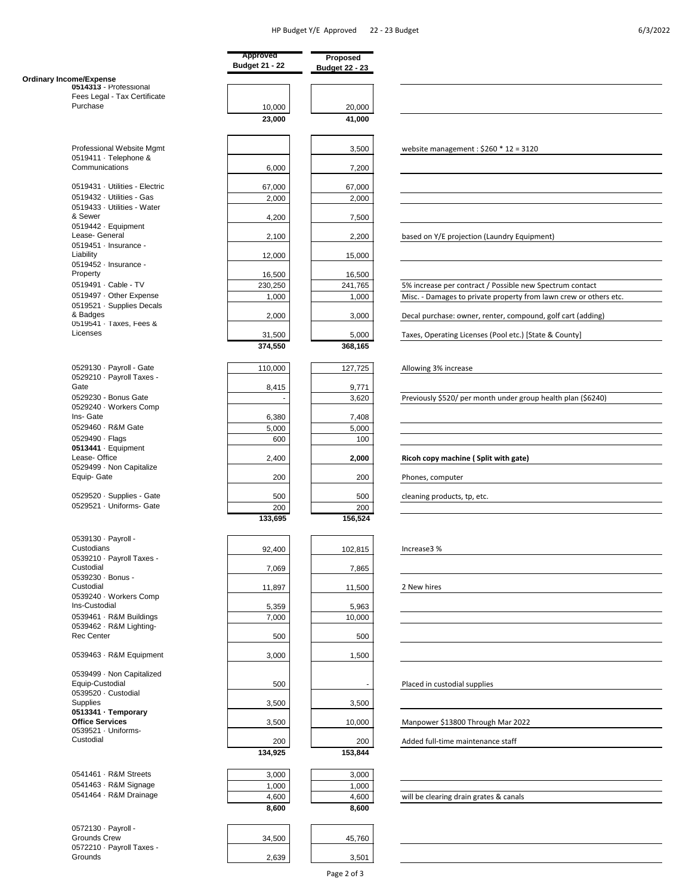. .

|                                                             | Approved<br><b>Budget 21 - 22</b> | Proposed<br><b>Budget 22 - 23</b> |                                                                   |
|-------------------------------------------------------------|-----------------------------------|-----------------------------------|-------------------------------------------------------------------|
| <b>Ordinary Income/Expense</b>                              |                                   |                                   |                                                                   |
| 0514313 - Professional                                      |                                   |                                   |                                                                   |
| Fees Legal - Tax Certificate                                |                                   |                                   |                                                                   |
| Purchase                                                    | 10,000                            | 20,000                            |                                                                   |
|                                                             | 23,000                            | 41,000                            |                                                                   |
| Professional Website Mgmt                                   |                                   |                                   |                                                                   |
| 0519411 · Telephone &                                       |                                   | 3,500                             | website management: $$260 * 12 = 3120$                            |
| Communications                                              | 6,000                             | 7,200                             |                                                                   |
| 0519431 · Utilities - Electric<br>0519432 · Utilities - Gas | 67,000                            | 67,000                            |                                                                   |
| 0519433 · Utilities - Water                                 | 2,000                             | 2,000                             |                                                                   |
| & Sewer                                                     | 4,200                             | 7,500                             |                                                                   |
| 0519442 · Equipment<br>Lease- General                       | 2,100                             | 2,200                             | based on Y/E projection (Laundry Equipment)                       |
| 0519451 · Insurance -                                       |                                   |                                   |                                                                   |
| Liability<br>0519452 · Insurance -                          | 12,000                            | 15,000                            |                                                                   |
| Property                                                    | 16,500                            | 16,500                            |                                                                   |
| 0519491 · Cable - TV                                        | 230,250                           | 241,765                           | 5% increase per contract / Possible new Spectrum contact          |
| 0519497 · Other Expense                                     | 1,000                             | 1,000                             | Misc. - Damages to private property from lawn crew or others etc. |
| 0519521 · Supplies Decals                                   |                                   |                                   |                                                                   |
| & Badges<br>0519541 · Taxes, Fees &                         | 2,000                             | 3,000                             | Decal purchase: owner, renter, compound, golf cart (adding)       |
| Licenses                                                    | 31,500                            | 5,000                             | Taxes, Operating Licenses (Pool etc.) [State & County]            |
|                                                             | 374,550                           | 368,165                           |                                                                   |
| 0529130 · Payroll - Gate                                    | 110,000                           | 127,725                           |                                                                   |
| 0529210 · Payroll Taxes -                                   |                                   |                                   | Allowing 3% increase                                              |
| Gate                                                        | 8,415                             | 9,771                             |                                                                   |
| 0529230 - Bonus Gate                                        |                                   | 3,620                             | Previously \$520/ per month under group health plan (\$6240)      |
| 0529240 · Workers Comp                                      |                                   |                                   |                                                                   |
| Ins- Gate                                                   | 6,380                             | 7,408                             |                                                                   |
| 0529460 · R&M Gate                                          | 5,000                             | 5,000                             |                                                                   |
| 0529490 · Flags                                             | 600                               | 100                               |                                                                   |
| 0513441 · Equipment<br>Lease-Office                         |                                   |                                   |                                                                   |
| 0529499 · Non Capitalize                                    | 2,400                             | 2,000                             | Ricoh copy machine (Split with gate)                              |
| Equip- Gate                                                 | 200                               | 200                               | Phones, computer                                                  |
| 0529520 · Supplies - Gate                                   | 500                               | 500                               | cleaning products, tp, etc.                                       |
| 0529521 · Uniforms- Gate                                    | 200                               | 200                               |                                                                   |
|                                                             | 133,695                           | 156,524                           |                                                                   |
| 0539130 · Payroll -                                         |                                   |                                   |                                                                   |
| Custodians                                                  | 92,400                            | 102,815                           | Increase3 %                                                       |
| 0539210 · Payroll Taxes -                                   |                                   |                                   |                                                                   |
| Custodial<br>0539230 · Bonus -                              | 7,069                             | 7,865                             |                                                                   |
| Custodial                                                   | 11,897                            | 11,500                            | 2 New hires                                                       |
| 0539240 · Workers Comp                                      |                                   |                                   |                                                                   |
| Ins-Custodial                                               | 5,359                             | 5,963                             |                                                                   |
| 0539461 · R&M Buildings                                     | 7,000                             | 10,000                            |                                                                   |
| 0539462 · R&M Lighting-                                     |                                   |                                   |                                                                   |
| Rec Center                                                  | 500                               | 500                               |                                                                   |
| 0539463 · R&M Equipment                                     | 3,000                             | 1,500                             |                                                                   |
| 0539499 · Non Capitalized                                   |                                   |                                   |                                                                   |
| Equip-Custodial                                             | 500                               |                                   | Placed in custodial supplies                                      |
| 0539520 · Custodial                                         |                                   |                                   |                                                                   |
| <b>Supplies</b><br>0513341 · Temporary                      | 3,500                             | 3,500                             |                                                                   |
| <b>Office Services</b>                                      | 3,500                             | 10,000                            | Manpower \$13800 Through Mar 2022                                 |
| 0539521 · Uniforms-                                         |                                   |                                   |                                                                   |
| Custodial                                                   | 200                               | 200                               | Added full-time maintenance staff                                 |
|                                                             | 134,925                           | 153,844                           |                                                                   |
| 0541461 · R&M Streets                                       | 3,000                             | 3,000                             |                                                                   |
| 0541463 · R&M Signage                                       |                                   |                                   |                                                                   |
| 0541464 · R&M Drainage                                      | 1,000<br>4,600                    | 1,000<br>4,600                    |                                                                   |
|                                                             | 8,600                             | 8,600                             | will be clearing drain grates & canals                            |
|                                                             |                                   |                                   |                                                                   |
| 0572130 · Payroll -<br>Grounds Crew                         | 34,500                            | 45,760                            |                                                                   |
| 0572210 · Payroll Taxes -                                   |                                   |                                   |                                                                   |
| Grounds                                                     | 2,639                             | 3,501                             |                                                                   |
|                                                             |                                   |                                   |                                                                   |

Page 2 of 3